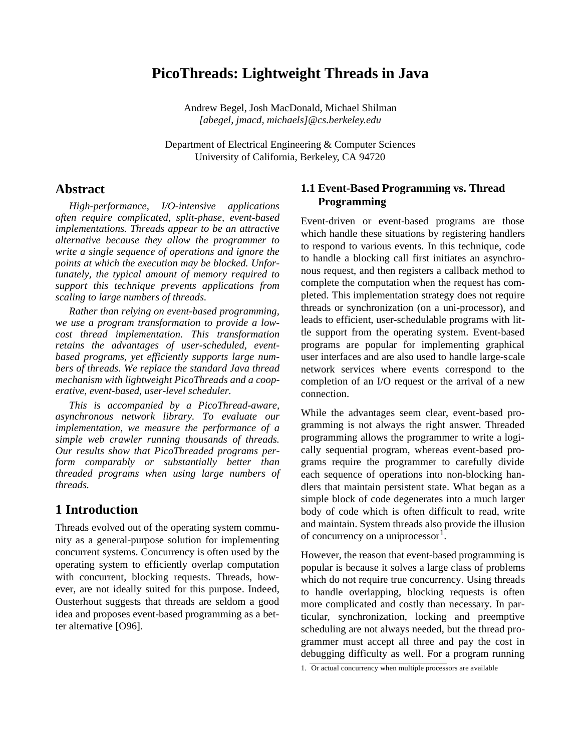# **PicoThreads: Lightweight Threads in Java**

Andrew Begel, Josh MacDonald, Michael Shilman *[abegel, jmacd, michaels]@cs.berkeley.edu*

Department of Electrical Engineering & Computer Sciences University of California, Berkeley, CA 94720

### **Abstract**

*High-performance, I/O-intensive applications often require complicated, split-phase, event-based implementations. Threads appear to be an attractive alternative because they allow the programmer to write a single sequence of operations and ignore the points at which the execution may be blocked. Unfortunately, the typical amount of memory required to support this technique prevents applications from scaling to large numbers of threads.*

*Rather than relying on event-based programming, we use a program transformation to provide a lowcost thread implementation. This transformation retains the advantages of user-scheduled, eventbased programs, yet efficiently supports large numbers of threads. We replace the standard Java thread mechanism with lightweight PicoThreads and a cooperative, event-based, user-level scheduler.* 

*This is accompanied by a PicoThread-aware, asynchronous network library. To evaluate our implementation, we measure the performance of a simple web crawler running thousands of threads. Our results show that PicoThreaded programs perform comparably or substantially better than threaded programs when using large numbers of threads.*

# **1 Introduction**

Threads evolved out of the operating system community as a general-purpose solution for implementing concurrent systems. Concurrency is often used by the operating system to efficiently overlap computation with concurrent, blocking requests. Threads, however, are not ideally suited for this purpose. Indeed, Ousterhout suggests that threads are seldom a good idea and proposes event-based programming as a better alternative [O96].

### **1.1 Event-Based Programming vs. Thread Programming**

Event-driven or event-based programs are those which handle these situations by registering handlers to respond to various events. In this technique, code to handle a blocking call first initiates an asynchronous request, and then registers a callback method to complete the computation when the request has completed. This implementation strategy does not require threads or synchronization (on a uni-processor), and leads to efficient, user-schedulable programs with little support from the operating system. Event-based programs are popular for implementing graphical user interfaces and are also used to handle large-scale network services where events correspond to the completion of an I/O request or the arrival of a new connection.

While the advantages seem clear, event-based programming is not always the right answer. Threaded programming allows the programmer to write a logically sequential program, whereas event-based programs require the programmer to carefully divide each sequence of operations into non-blocking handlers that maintain persistent state. What began as a simple block of code degenerates into a much larger body of code which is often difficult to read, write and maintain. System threads also provide the illusion of concurrency on a uniprocessor $1$ .

However, the reason that event-based programming is popular is because it solves a large class of problems which do not require true concurrency. Using threads to handle overlapping, blocking requests is often more complicated and costly than necessary. In particular, synchronization, locking and preemptive scheduling are not always needed, but the thread programmer must accept all three and pay the cost in debugging difficulty as well. For a program running

<sup>1.</sup> Or actual concurrency when multiple processors are available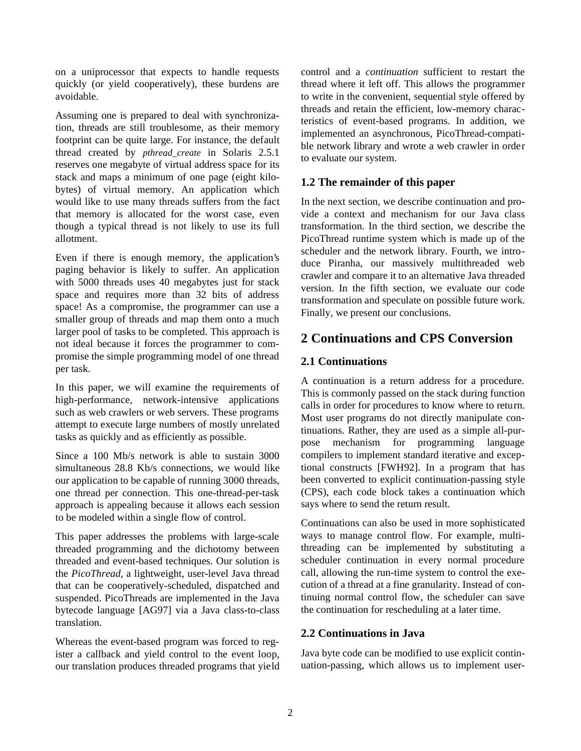on a uniprocessor that expects to handle requests quickly (or yield cooperatively), these burdens are avoidable.

Assuming one is prepared to deal with synchronization, threads are still troublesome, as their memory footprint can be quite large. For instance, the default thread created by *pthread\_create* in Solaris 2.5.1 reserves one megabyte of virtual address space for its stack and maps a minimum of one page (eight kilobytes) of virtual memory. An application which would like to use many threads suffers from the fact that memory is allocated for the worst case, even though a typical thread is not likely to use its full allotment.

Even if there is enough memory, the application's paging behavior is likely to suffer. An application with 5000 threads uses 40 megabytes just for stack space and requires more than 32 bits of address space! As a compromise, the programmer can use a smaller group of threads and map them onto a much larger pool of tasks to be completed. This approach is not ideal because it forces the programmer to compromise the simple programming model of one thread per task.

In this paper, we will examine the requirements of high-performance, network-intensive applications such as web crawlers or web servers. These programs attempt to execute large numbers of mostly unrelated tasks as quickly and as efficiently as possible.

Since a 100 Mb/s network is able to sustain 3000 simultaneous 28.8 Kb/s connections, we would like our application to be capable of running 3000 threads, one thread per connection. This one-thread-per-task approach is appealing because it allows each session to be modeled within a single flow of control.

This paper addresses the problems with large-scale threaded programming and the dichotomy between threaded and event-based techniques. Our solution is the *PicoThread*, a lightweight, user-level Java thread that can be cooperatively-scheduled, dispatched and suspended. PicoThreads are implemented in the Java bytecode language [AG97] via a Java class-to-class translation.

Whereas the event-based program was forced to register a callback and yield control to the event loop, our translation produces threaded programs that yield control and a *continuation* sufficient to restart the thread where it left off. This allows the programmer to write in the convenient, sequential style offered by threads and retain the efficient, low-memory characteristics of event-based programs. In addition, we implemented an asynchronous, PicoThread-compatible network library and wrote a web crawler in order to evaluate our system.

### **1.2 The remainder of this paper**

In the next section, we describe continuation and provide a context and mechanism for our Java class transformation. In the third section, we describe the PicoThread runtime system which is made up of the scheduler and the network library. Fourth, we introduce Piranha, our massively multithreaded web crawler and compare it to an alternative Java threaded version. In the fifth section, we evaluate our code transformation and speculate on possible future work. Finally, we present our conclusions.

# **2 Continuations and CPS Conversion**

### **2.1 Continuations**

A continuation is a return address for a procedure. This is commonly passed on the stack during function calls in order for procedures to know where to return. Most user programs do not directly manipulate continuations. Rather, they are used as a simple all-purpose mechanism for programming language compilers to implement standard iterative and exceptional constructs [FWH92]. In a program that has been converted to explicit continuation-passing style (CPS), each code block takes a continuation which says where to send the return result.

Continuations can also be used in more sophisticated ways to manage control flow. For example, multithreading can be implemented by substituting a scheduler continuation in every normal procedure call, allowing the run-time system to control the execution of a thread at a fine granularity. Instead of continuing normal control flow, the scheduler can save the continuation for rescheduling at a later time.

### **2.2 Continuations in Java**

Java byte code can be modified to use explicit continuation-passing, which allows us to implement user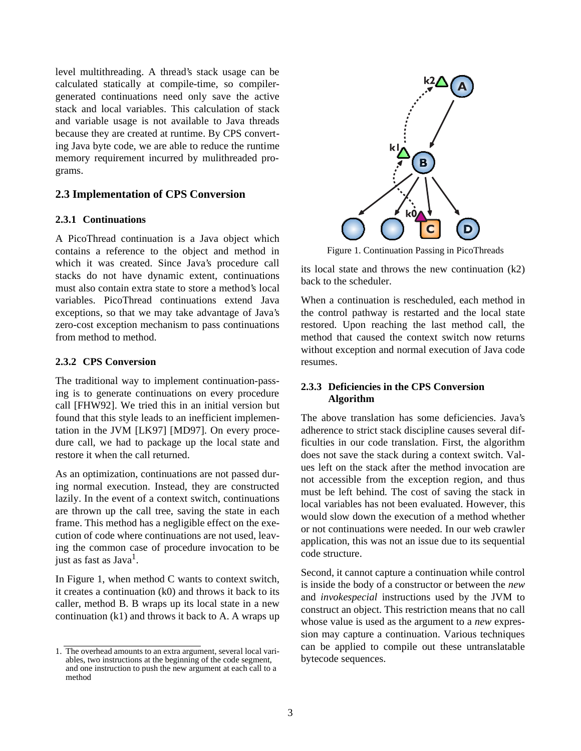level multithreading. A thread's stack usage can be calculated statically at compile-time, so compilergenerated continuations need only save the active stack and local variables. This calculation of stack and variable usage is not available to Java threads because they are created at runtime. By CPS converting Java byte code, we are able to reduce the runtime memory requirement incurred by mulithreaded programs.

#### **2.3 Implementation of CPS Conversion**

#### **2.3.1 Continuations**

A PicoThread continuation is a Java object which contains a reference to the object and method in which it was created. Since Java's procedure call stacks do not have dynamic extent, continuations must also contain extra state to store a method's local variables. PicoThread continuations extend Java exceptions, so that we may take advantage of Java's zero-cost exception mechanism to pass continuations from method to method.

#### **2.3.2 CPS Conversion**

The traditional way to implement continuation-passing is to generate continuations on every procedure call [FHW92]. We tried this in an initial version but found that this style leads to an inefficient implementation in the JVM [LK97] [MD97]. On every procedure call, we had to package up the local state and restore it when the call returned.

As an optimization, continuations are not passed during normal execution. Instead, they are constructed lazily. In the event of a context switch, continuations are thrown up the call tree, saving the state in each frame. This method has a negligible effect on the execution of code where continuations are not used, leaving the common case of procedure invocation to be just as fast as  $Java<sup>1</sup>$ .

In Figure 1, when method C wants to context switch, it creates a continuation (k0) and throws it back to its caller, method B. B wraps up its local state in a new continuation (k1) and throws it back to A. A wraps up



Figure 1. Continuation Passing in PicoThreads

its local state and throws the new continuation (k2) back to the scheduler.

When a continuation is rescheduled, each method in the control pathway is restarted and the local state restored. Upon reaching the last method call, the method that caused the context switch now returns without exception and normal execution of Java code resumes.

#### **2.3.3 Deficiencies in the CPS Conversion Algorithm**

The above translation has some deficiencies. Java's adherence to strict stack discipline causes several difficulties in our code translation. First, the algorithm does not save the stack during a context switch. Values left on the stack after the method invocation are not accessible from the exception region, and thus must be left behind. The cost of saving the stack in local variables has not been evaluated. However, this would slow down the execution of a method whether or not continuations were needed. In our web crawler application, this was not an issue due to its sequential code structure.

Second, it cannot capture a continuation while control is inside the body of a constructor or between the *new* and *invokespecial* instructions used by the JVM to construct an object. This restriction means that no call whose value is used as the argument to a *new* expression may capture a continuation. Various techniques can be applied to compile out these untranslatable bytecode sequences.

<sup>1.</sup> The overhead amounts to an extra argument, several local variables, two instructions at the beginning of the code segment, and one instruction to push the new argument at each call to a method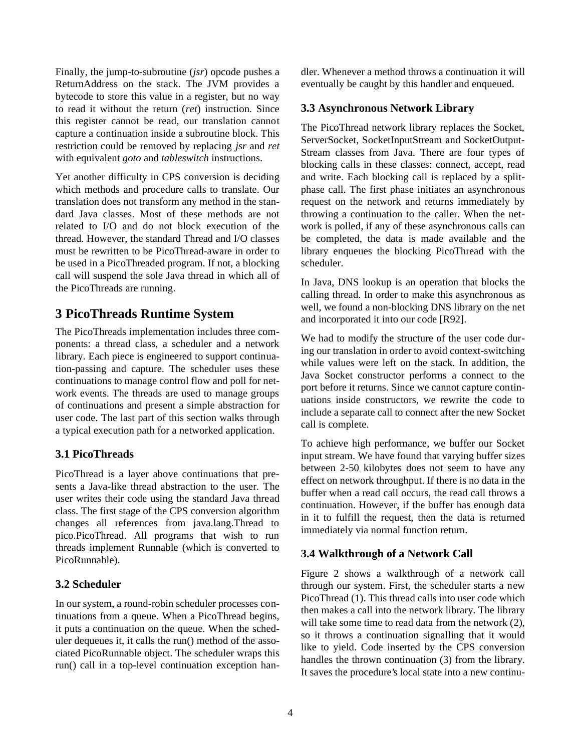Finally, the jump-to-subroutine (*jsr*) opcode pushes a ReturnAddress on the stack. The JVM provides a bytecode to store this value in a register, but no way to read it without the return (*ret*) instruction. Since this register cannot be read, our translation cannot capture a continuation inside a subroutine block. This restriction could be removed by replacing *jsr* and *ret* with equivalent *goto* and *tableswitch* instructions.

Yet another difficulty in CPS conversion is deciding which methods and procedure calls to translate. Our translation does not transform any method in the standard Java classes. Most of these methods are not related to I/O and do not block execution of the thread. However, the standard Thread and I/O classes must be rewritten to be PicoThread-aware in order to be used in a PicoThreaded program. If not, a blocking call will suspend the sole Java thread in which all of the PicoThreads are running.

# **3 PicoThreads Runtime System**

The PicoThreads implementation includes three components: a thread class, a scheduler and a network library. Each piece is engineered to support continuation-passing and capture. The scheduler uses these continuations to manage control flow and poll for network events. The threads are used to manage groups of continuations and present a simple abstraction for user code. The last part of this section walks through a typical execution path for a networked application.

## **3.1 PicoThreads**

PicoThread is a layer above continuations that presents a Java-like thread abstraction to the user. The user writes their code using the standard Java thread class. The first stage of the CPS conversion algorithm changes all references from java.lang.Thread to pico.PicoThread. All programs that wish to run threads implement Runnable (which is converted to PicoRunnable).

### **3.2 Scheduler**

In our system, a round-robin scheduler processes continuations from a queue. When a PicoThread begins, it puts a continuation on the queue. When the scheduler dequeues it, it calls the run() method of the associated PicoRunnable object. The scheduler wraps this run() call in a top-level continuation exception handler. Whenever a method throws a continuation it will eventually be caught by this handler and enqueued.

### **3.3 Asynchronous Network Library**

The PicoThread network library replaces the Socket, ServerSocket, SocketInputStream and SocketOutput-Stream classes from Java. There are four types of blocking calls in these classes: connect, accept, read and write. Each blocking call is replaced by a splitphase call. The first phase initiates an asynchronous request on the network and returns immediately by throwing a continuation to the caller. When the network is polled, if any of these asynchronous calls can be completed, the data is made available and the library enqueues the blocking PicoThread with the scheduler.

In Java, DNS lookup is an operation that blocks the calling thread. In order to make this asynchronous as well, we found a non-blocking DNS library on the net and incorporated it into our code [R92].

We had to modify the structure of the user code during our translation in order to avoid context-switching while values were left on the stack. In addition, the Java Socket constructor performs a connect to the port before it returns. Since we cannot capture continuations inside constructors, we rewrite the code to include a separate call to connect after the new Socket call is complete.

To achieve high performance, we buffer our Socket input stream. We have found that varying buffer sizes between 2-50 kilobytes does not seem to have any effect on network throughput. If there is no data in the buffer when a read call occurs, the read call throws a continuation. However, if the buffer has enough data in it to fulfill the request, then the data is returned immediately via normal function return.

## **3.4 Walkthrough of a Network Call**

Figure 2 shows a walkthrough of a network call through our system. First, the scheduler starts a new PicoThread (1). This thread calls into user code which then makes a call into the network library. The library will take some time to read data from the network  $(2)$ , so it throws a continuation signalling that it would like to yield. Code inserted by the CPS conversion handles the thrown continuation (3) from the library. It saves the procedure's local state into a new continu-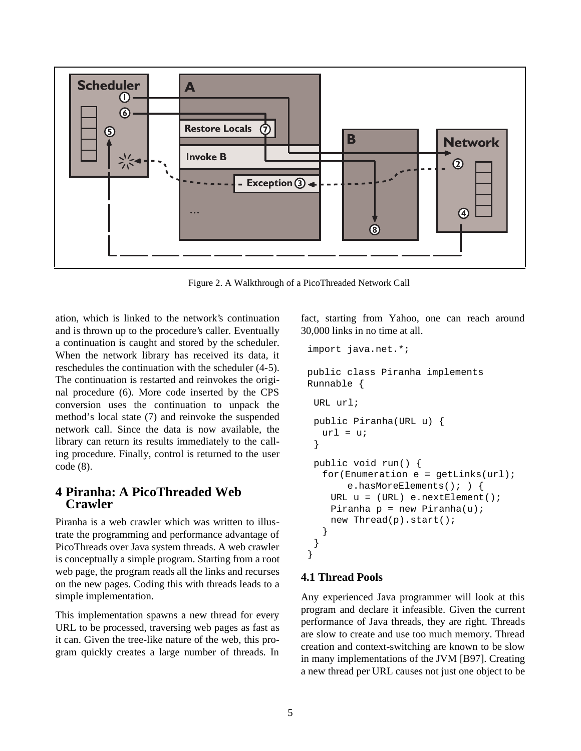

Figure 2. A Walkthrough of a PicoThreaded Network Call

ation, which is linked to the network's continuation and is thrown up to the procedure's caller. Eventually a continuation is caught and stored by the scheduler. When the network library has received its data, it reschedules the continuation with the scheduler (4-5). The continuation is restarted and reinvokes the original procedure (6). More code inserted by the CPS conversion uses the continuation to unpack the method's local state (7) and reinvoke the suspended network call. Since the data is now available, the library can return its results immediately to the calling procedure. Finally, control is returned to the user code (8).

### **4 Piranha: A PicoThreaded Web Crawler**

Piranha is a web crawler which was written to illustrate the programming and performance advantage of PicoThreads over Java system threads. A web crawler is conceptually a simple program. Starting from a root web page, the program reads all the links and recurses on the new pages. Coding this with threads leads to a simple implementation.

This implementation spawns a new thread for every URL to be processed, traversing web pages as fast as it can. Given the tree-like nature of the web, this program quickly creates a large number of threads. In

fact, starting from Yahoo, one can reach around 30,000 links in no time at all.

```
import java.net.*;
public class Piranha implements 
Runnable {
 URL url;
 public Piranha(URL u) {
  url = ui}
 public void run() {
  for (Emumeration e = getLinks(url);e.hasMoreElements(); ) { 
    URL u = (URL) e.nextElement();
    Piranha p = new Piranha(u);new Thread(p).start();
  }
 }
}
```
#### **4.1 Thread Pools**

Any experienced Java programmer will look at this program and declare it infeasible. Given the current performance of Java threads, they are right. Threads are slow to create and use too much memory. Thread creation and context-switching are known to be slow in many implementations of the JVM [B97]. Creating a new thread per URL causes not just one object to be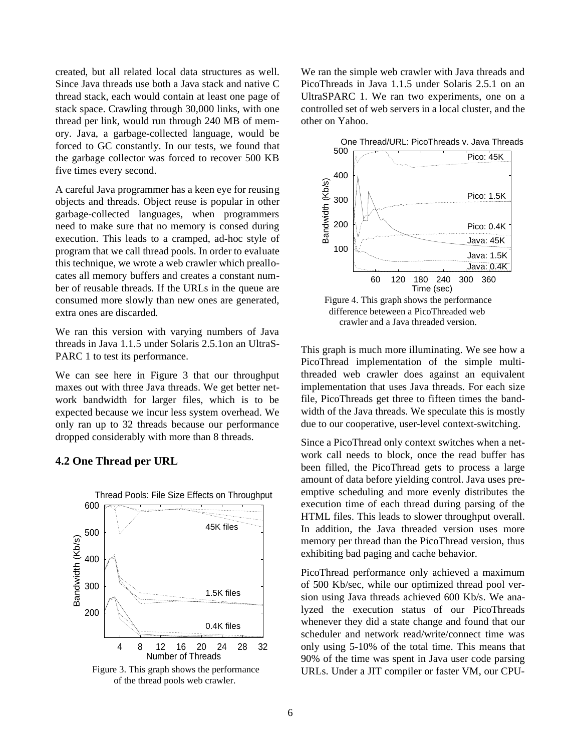created, but all related local data structures as well. Since Java threads use both a Java stack and native C thread stack, each would contain at least one page of stack space. Crawling through 30,000 links, with one thread per link, would run through 240 MB of memory. Java, a garbage-collected language, would be forced to GC constantly. In our tests, we found that the garbage collector was forced to recover 500 KB five times every second.

A careful Java programmer has a keen eye for reusing objects and threads. Object reuse is popular in other garbage-collected languages, when programmers need to make sure that no memory is consed during execution. This leads to a cramped, ad-hoc style of program that we call thread pools. In order to evaluate this technique, we wrote a web crawler which preallocates all memory buffers and creates a constant number of reusable threads. If the URLs in the queue are consumed more slowly than new ones are generated, extra ones are discarded.

We ran this version with varying numbers of Java threads in Java 1.1.5 under Solaris 2.5.1on an UltraS-PARC 1 to test its performance.

We can see here in Figure 3 that our throughput maxes out with three Java threads. We get better network bandwidth for larger files, which is to be expected because we incur less system overhead. We only ran up to 32 threads because our performance dropped considerably with more than 8 threads.

#### **4.2 One Thread per URL**



Figure 3. This graph shows the performance of the thread pools web crawler.

We ran the simple web crawler with Java threads and PicoThreads in Java 1.1.5 under Solaris 2.5.1 on an UltraSPARC 1. We ran two experiments, one on a controlled set of web servers in a local cluster, and the other on Yahoo.



This graph is much more illuminating. We see how a PicoThread implementation of the simple multithreaded web crawler does against an equivalent implementation that uses Java threads. For each size file, PicoThreads get three to fifteen times the bandwidth of the Java threads. We speculate this is mostly due to our cooperative, user-level context-switching.

Since a PicoThread only context switches when a network call needs to block, once the read buffer has been filled, the PicoThread gets to process a large amount of data before yielding control. Java uses preemptive scheduling and more evenly distributes the execution time of each thread during parsing of the HTML files. This leads to slower throughput overall. In addition, the Java threaded version uses more memory per thread than the PicoThread version, thus exhibiting bad paging and cache behavior.

PicoThread performance only achieved a maximum of 500 Kb/sec, while our optimized thread pool version using Java threads achieved 600 Kb/s. We analyzed the execution status of our PicoThreads whenever they did a state change and found that our scheduler and network read/write/connect time was only using 5-10% of the total time. This means that 90% of the time was spent in Java user code parsing URLs. Under a JIT compiler or faster VM, our CPU-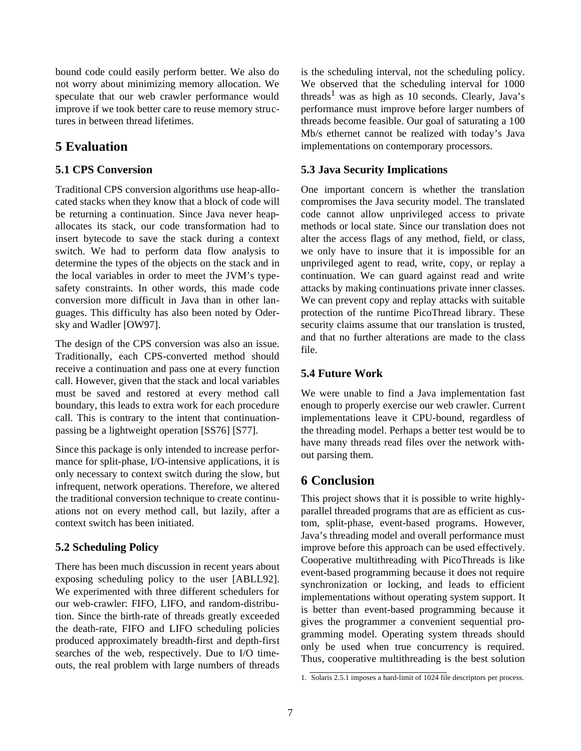bound code could easily perform better. We also do not worry about minimizing memory allocation. We speculate that our web crawler performance would improve if we took better care to reuse memory structures in between thread lifetimes.

# **5 Evaluation**

### **5.1 CPS Conversion**

Traditional CPS conversion algorithms use heap-allocated stacks when they know that a block of code will be returning a continuation. Since Java never heapallocates its stack, our code transformation had to insert bytecode to save the stack during a context switch. We had to perform data flow analysis to determine the types of the objects on the stack and in the local variables in order to meet the JVM's typesafety constraints. In other words, this made code conversion more difficult in Java than in other languages. This difficulty has also been noted by Odersky and Wadler [OW97].

The design of the CPS conversion was also an issue. Traditionally, each CPS-converted method should receive a continuation and pass one at every function call. However, given that the stack and local variables must be saved and restored at every method call boundary, this leads to extra work for each procedure call. This is contrary to the intent that continuationpassing be a lightweight operation [SS76] [S77].

Since this package is only intended to increase performance for split-phase, I/O-intensive applications, it is only necessary to context switch during the slow, but infrequent, network operations. Therefore, we altered the traditional conversion technique to create continuations not on every method call, but lazily, after a context switch has been initiated.

## **5.2 Scheduling Policy**

There has been much discussion in recent years about exposing scheduling policy to the user [ABLL92]. We experimented with three different schedulers for our web-crawler: FIFO, LIFO, and random-distribution. Since the birth-rate of threads greatly exceeded the death-rate, FIFO and LIFO scheduling policies produced approximately breadth-first and depth-first searches of the web, respectively. Due to I/O timeouts, the real problem with large numbers of threads

is the scheduling interval, not the scheduling policy. We observed that the scheduling interval for 1000 threads<sup>1</sup> was as high as 10 seconds. Clearly, Java's performance must improve before larger numbers of threads become feasible. Our goal of saturating a 100 Mb/s ethernet cannot be realized with today's Java implementations on contemporary processors.

## **5.3 Java Security Implications**

One important concern is whether the translation compromises the Java security model. The translated code cannot allow unprivileged access to private methods or local state. Since our translation does not alter the access flags of any method, field, or class, we only have to insure that it is impossible for an unprivileged agent to read, write, copy, or replay a continuation. We can guard against read and write attacks by making continuations private inner classes. We can prevent copy and replay attacks with suitable protection of the runtime PicoThread library. These security claims assume that our translation is trusted, and that no further alterations are made to the class file.

### **5.4 Future Work**

We were unable to find a Java implementation fast enough to properly exercise our web crawler. Current implementations leave it CPU-bound, regardless of the threading model. Perhaps a better test would be to have many threads read files over the network without parsing them.

# **6 Conclusion**

This project shows that it is possible to write highlyparallel threaded programs that are as efficient as custom, split-phase, event-based programs. However, Java's threading model and overall performance must improve before this approach can be used effectively. Cooperative multithreading with PicoThreads is like event-based programming because it does not require synchronization or locking, and leads to efficient implementations without operating system support. It is better than event-based programming because it gives the programmer a convenient sequential programming model. Operating system threads should only be used when true concurrency is required. Thus, cooperative multithreading is the best solution

<sup>1.</sup> Solaris 2.5.1 imposes a hard-limit of 1024 file descriptors per process.